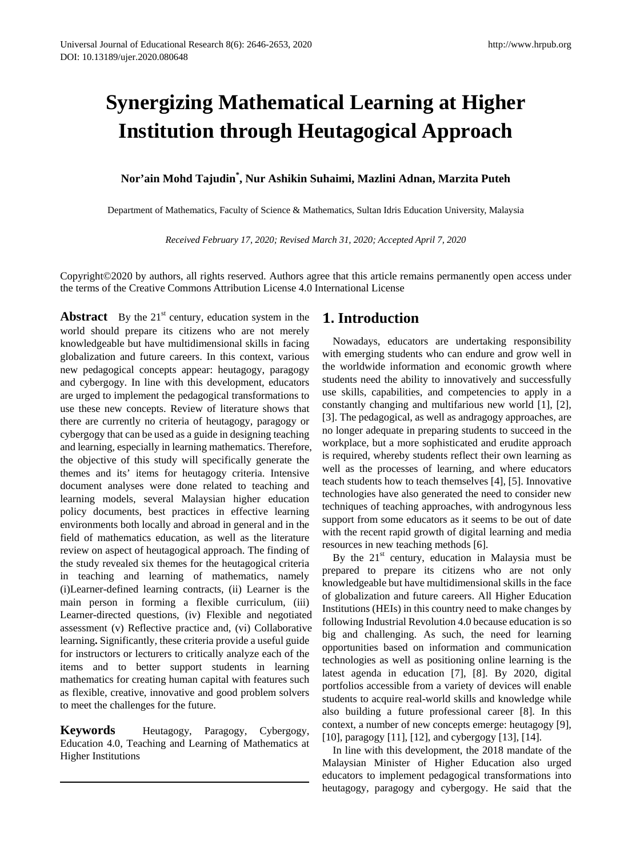# **Synergizing Mathematical Learning at Higher Institution through Heutagogical Approach**

## **Nor'ain Mohd Tajudin\* , Nur Ashikin Suhaimi, Mazlini Adnan, Marzita Puteh**

Department of Mathematics, Faculty of Science & Mathematics, Sultan Idris Education University, Malaysia

*Received February 17, 2020; Revised March 31, 2020; Accepted April 7, 2020*

Copyright©2020 by authors, all rights reserved. Authors agree that this article remains permanently open access under the terms of the Creative Commons Attribution License 4.0 International License

**Abstract** By the  $21<sup>st</sup>$  century, education system in the world should prepare its citizens who are not merely knowledgeable but have multidimensional skills in facing globalization and future careers. In this context, various new pedagogical concepts appear: heutagogy, paragogy and cybergogy. In line with this development, educators are urged to implement the pedagogical transformations to use these new concepts. Review of literature shows that there are currently no criteria of heutagogy, paragogy or cybergogy that can be used as a guide in designing teaching and learning, especially in learning mathematics. Therefore, the objective of this study will specifically generate the themes and its' items for heutagogy criteria. Intensive document analyses were done related to teaching and learning models, several Malaysian higher education policy documents, best practices in effective learning environments both locally and abroad in general and in the field of mathematics education, as well as the literature review on aspect of heutagogical approach. The finding of the study revealed six themes for the heutagogical criteria in teaching and learning of mathematics, namely (i)Learner-defined learning contracts, (ii) Learner is the main person in forming a flexible curriculum, (iii) Learner-directed questions, (iv) Flexible and negotiated assessment (v) Reflective practice and, (vi) Collaborative learning**.** Significantly, these criteria provide a useful guide for instructors or lecturers to critically analyze each of the items and to better support students in learning mathematics for creating human capital with features such as flexible, creative, innovative and good problem solvers to meet the challenges for the future.

**Keywords** Heutagogy, Paragogy, Cybergogy, Education 4.0, Teaching and Learning of Mathematics at Higher Institutions

### **1. Introduction**

Nowadays, educators are undertaking responsibility with emerging students who can endure and grow well in the worldwide information and economic growth where students need the ability to innovatively and successfully use skills, capabilities, and competencies to apply in a constantly changing and multifarious new world [1], [2], [3]. The pedagogical, as well as andragogy approaches, are no longer adequate in preparing students to succeed in the workplace, but a more sophisticated and erudite approach is required, whereby students reflect their own learning as well as the processes of learning, and where educators teach students how to teach themselves [4], [5]. Innovative technologies have also generated the need to consider new techniques of teaching approaches, with androgynous less support from some educators as it seems to be out of date with the recent rapid growth of digital learning and media resources in new teaching methods [6].

By the  $21<sup>st</sup>$  century, education in Malaysia must be prepared to prepare its citizens who are not only knowledgeable but have multidimensional skills in the face of globalization and future careers. All Higher Education Institutions (HEIs) in this country need to make changes by following Industrial Revolution 4.0 because education is so big and challenging. As such, the need for learning opportunities based on information and communication technologies as well as positioning online learning is the latest agenda in education [7], [8]. By 2020, digital portfolios accessible from a variety of devices will enable students to acquire real-world skills and knowledge while also building a future professional career [8]. In this context, a number of new concepts emerge: heutagogy [9], [10], paragogy [11], [12], and cybergogy [13], [14].

In line with this development, the 2018 mandate of the Malaysian Minister of Higher Education also urged educators to implement pedagogical transformations into heutagogy, paragogy and cybergogy. He said that the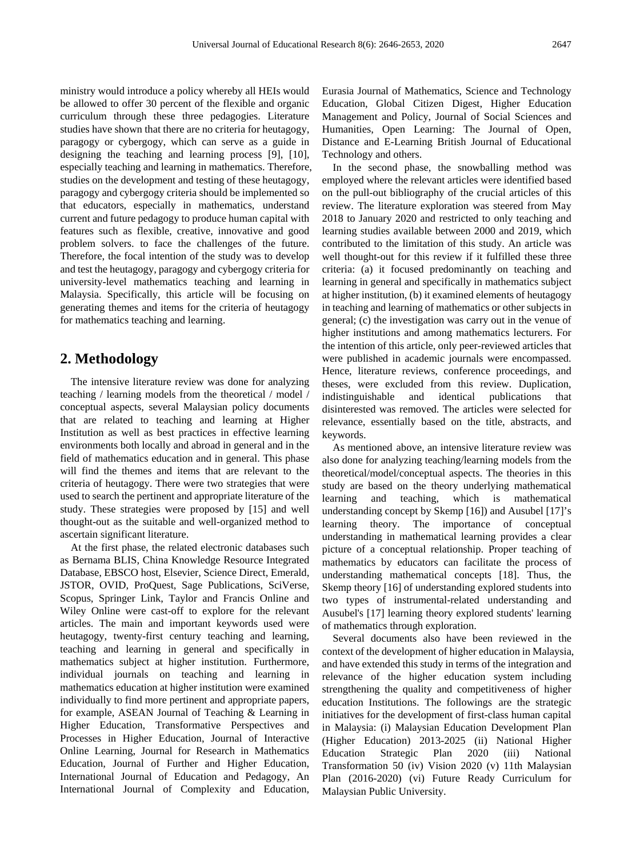ministry would introduce a policy whereby all HEIs would be allowed to offer 30 percent of the flexible and organic curriculum through these three pedagogies. Literature studies have shown that there are no criteria for heutagogy, paragogy or cybergogy, which can serve as a guide in designing the teaching and learning process [9], [10], especially teaching and learning in mathematics. Therefore, studies on the development and testing of these heutagogy, paragogy and cybergogy criteria should be implemented so that educators, especially in mathematics, understand current and future pedagogy to produce human capital with features such as flexible, creative, innovative and good problem solvers. to face the challenges of the future. Therefore, the focal intention of the study was to develop and test the heutagogy, paragogy and cybergogy criteria for university-level mathematics teaching and learning in Malaysia. Specifically, this article will be focusing on generating themes and items for the criteria of heutagogy for mathematics teaching and learning.

# **2. Methodology**

The intensive literature review was done for analyzing teaching / learning models from the theoretical / model / conceptual aspects, several Malaysian policy documents that are related to teaching and learning at Higher Institution as well as best practices in effective learning environments both locally and abroad in general and in the field of mathematics education and in general. This phase will find the themes and items that are relevant to the criteria of heutagogy. There were two strategies that were used to search the pertinent and appropriate literature of the study. These strategies were proposed by [15] and well thought-out as the suitable and well-organized method to ascertain significant literature.

At the first phase, the related electronic databases such as Bernama BLIS, China Knowledge Resource Integrated Database, EBSCO host, Elsevier, Science Direct, Emerald, JSTOR, OVID, ProQuest, Sage Publications, SciVerse, Scopus, Springer Link, Taylor and Francis Online and Wiley Online were cast-off to explore for the relevant articles. The main and important keywords used were heutagogy, twenty-first century teaching and learning, teaching and learning in general and specifically in mathematics subject at higher institution. Furthermore, individual journals on teaching and learning in mathematics education at higher institution were examined individually to find more pertinent and appropriate papers, for example, ASEAN Journal of Teaching & Learning in Higher Education, Transformative Perspectives and Processes in Higher Education, Journal of Interactive Online Learning, Journal for Research in Mathematics Education, Journal of Further and Higher Education, International Journal of Education and Pedagogy, An International Journal of Complexity and Education,

Eurasia Journal of Mathematics, Science and Technology Education, Global Citizen Digest, Higher Education Management and Policy, Journal of Social Sciences and Humanities, Open Learning: The Journal of Open, Distance and E-Learning British Journal of Educational Technology and others.

In the second phase, the snowballing method was employed where the relevant articles were identified based on the pull-out bibliography of the crucial articles of this review. The literature exploration was steered from May 2018 to January 2020 and restricted to only teaching and learning studies available between 2000 and 2019, which contributed to the limitation of this study. An article was well thought-out for this review if it fulfilled these three criteria: (a) it focused predominantly on teaching and learning in general and specifically in mathematics subject at higher institution, (b) it examined elements of heutagogy in teaching and learning of mathematics or other subjects in general; (c) the investigation was carry out in the venue of higher institutions and among mathematics lecturers. For the intention of this article, only peer-reviewed articles that were published in academic journals were encompassed. Hence, literature reviews, conference proceedings, and theses, were excluded from this review. Duplication, indistinguishable and identical publications that disinterested was removed. The articles were selected for relevance, essentially based on the title, abstracts, and keywords.

As mentioned above, an intensive literature review was also done for analyzing teaching/learning models from the theoretical/model/conceptual aspects. The theories in this study are based on the theory underlying mathematical learning and teaching, which is mathematical understanding concept by Skemp [16]) and Ausubel [17]'s learning theory. The importance of conceptual understanding in mathematical learning provides a clear picture of a conceptual relationship. Proper teaching of mathematics by educators can facilitate the process of understanding mathematical concepts [18]. Thus, the Skemp theory [16] of understanding explored students into two types of instrumental-related understanding and Ausubel's [17] learning theory explored students' learning of mathematics through exploration.

Several documents also have been reviewed in the context of the development of higher education in Malaysia, and have extended this study in terms of the integration and relevance of the higher education system including strengthening the quality and competitiveness of higher education Institutions. The followings are the strategic initiatives for the development of first-class human capital in Malaysia: (i) Malaysian Education Development Plan (Higher Education) 2013-2025 (ii) National Higher Education Strategic Plan 2020 (iii) National Transformation 50 (iv) Vision 2020 (v) 11th Malaysian Plan (2016-2020) (vi) Future Ready Curriculum for Malaysian Public University.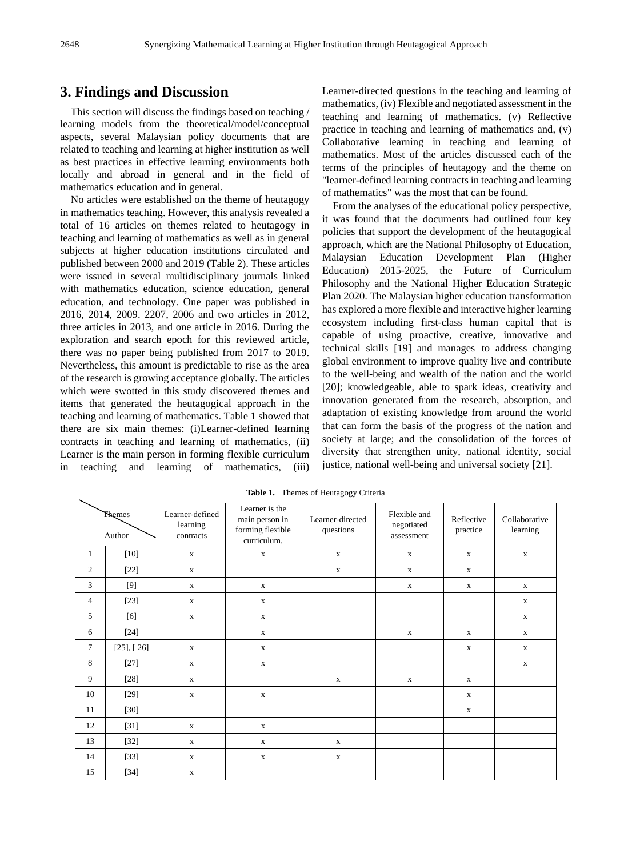# **3. Findings and Discussion**

This section will discuss the findings based on teaching / learning models from the theoretical/model/conceptual aspects, several Malaysian policy documents that are related to teaching and learning at higher institution as well as best practices in effective learning environments both locally and abroad in general and in the field of mathematics education and in general.

No articles were established on the theme of heutagogy in mathematics teaching. However, this analysis revealed a total of 16 articles on themes related to heutagogy in teaching and learning of mathematics as well as in general subjects at higher education institutions circulated and published between 2000 and 2019 (Table 2). These articles were issued in several multidisciplinary journals linked with mathematics education, science education, general education, and technology. One paper was published in 2016, 2014, 2009. 2207, 2006 and two articles in 2012, three articles in 2013, and one article in 2016. During the exploration and search epoch for this reviewed article, there was no paper being published from 2017 to 2019. Nevertheless, this amount is predictable to rise as the area of the research is growing acceptance globally. The articles which were swotted in this study discovered themes and items that generated the heutagogical approach in the teaching and learning of mathematics. Table 1 showed that there are six main themes: (i)Learner-defined learning contracts in teaching and learning of mathematics, (ii) Learner is the main person in forming flexible curriculum in teaching and learning of mathematics, (iii) Learner-directed questions in the teaching and learning of mathematics, (iv) Flexible and negotiated assessment in the teaching and learning of mathematics. (v) Reflective practice in teaching and learning of mathematics and, (v) Collaborative learning in teaching and learning of mathematics. Most of the articles discussed each of the terms of the principles of heutagogy and the theme on "learner-defined learning contracts in teaching and learning of mathematics" was the most that can be found.

From the analyses of the educational policy perspective, it was found that the documents had outlined four key policies that support the development of the heutagogical approach, which are the National Philosophy of Education, Malaysian Education Development Plan (Higher Education) 2015-2025, the Future of Curriculum Philosophy and the National Higher Education Strategic Plan 2020. The Malaysian higher education transformation has explored a more flexible and interactive higher learning ecosystem including first-class human capital that is capable of using proactive, creative, innovative and technical skills [19] and manages to address changing global environment to improve quality live and contribute to the well-being and wealth of the nation and the world [20]; knowledgeable, able to spark ideas, creativity and innovation generated from the research, absorption, and adaptation of existing knowledge from around the world that can form the basis of the progress of the nation and society at large; and the consolidation of the forces of diversity that strengthen unity, national identity, social justice, national well-being and universal society [21].

| <b>Themes</b><br>Author |                 | Learner-defined<br>learning<br>contracts | Learner is the<br>main person in<br>forming flexible<br>curriculum. | Learner-directed<br>questions | Flexible and<br>negotiated<br>assessment | Reflective<br>practice | Collaborative<br>learning |
|-------------------------|-----------------|------------------------------------------|---------------------------------------------------------------------|-------------------------------|------------------------------------------|------------------------|---------------------------|
| $\mathbf{1}$            | $[10]$          | $\mathbf X$                              | $\mathbf X$                                                         | $\mathbf X$                   | $\mathbf X$                              | $\mathbf{X}$           | $\mathbf X$               |
| $\mathfrak{2}$          | $[22]$          | $\mathbf X$                              |                                                                     | $\mathbf X$                   | $\mathbf X$                              | $\mathbf X$            |                           |
| 3                       | [9]             | $\mathbf X$                              | $\mathbf X$                                                         |                               | $\mathbf X$                              | $\mathbf{x}$           | $\mathbf X$               |
| 4                       | $[23]$          | $\mathbf x$                              | $\mathbf X$                                                         |                               |                                          |                        | $\mathbf x$               |
| 5                       | [6]             | $\mathbf x$                              | $\mathbf X$                                                         |                               |                                          |                        | $\mathbf x$               |
| 6                       | $[24]$          |                                          | $\mathbf X$                                                         |                               | $\mathbf X$                              | $\mathbf X$            | $\mathbf X$               |
| $\tau$                  | $[25]$ , $[26]$ | $\mathbf X$                              | $\mathbf X$                                                         |                               |                                          | $\mathbf X$            | $\mathbf X$               |
| 8                       | $[27]$          | $\mathbf X$                              | $\mathbf X$                                                         |                               |                                          |                        | $\mathbf X$               |
| 9                       | $[28]$          | $\mathbf X$                              |                                                                     | $\mathbf X$                   | $\mathbf X$                              | $\mathbf X$            |                           |
| 10                      | $[29]$          | $\mathbf X$                              | $\mathbf X$                                                         |                               |                                          | $\mathbf{x}$           |                           |
| 11                      | $[30]$          |                                          |                                                                     |                               |                                          | $\mathbf X$            |                           |
| 12                      | $[31]$          | $\mathbf X$                              | $\mathbf X$                                                         |                               |                                          |                        |                           |
| 13                      | $[32]$          | $\mathbf X$                              | $\mathbf X$                                                         | $\mathbf X$                   |                                          |                        |                           |
| 14                      | $[33]$          | $\mathbf X$                              | $\mathbf X$                                                         | $\mathbf X$                   |                                          |                        |                           |
| 15                      | $[34]$          | $\mathbf X$                              |                                                                     |                               |                                          |                        |                           |

**Table 1.** Themes of Heutagogy Criteria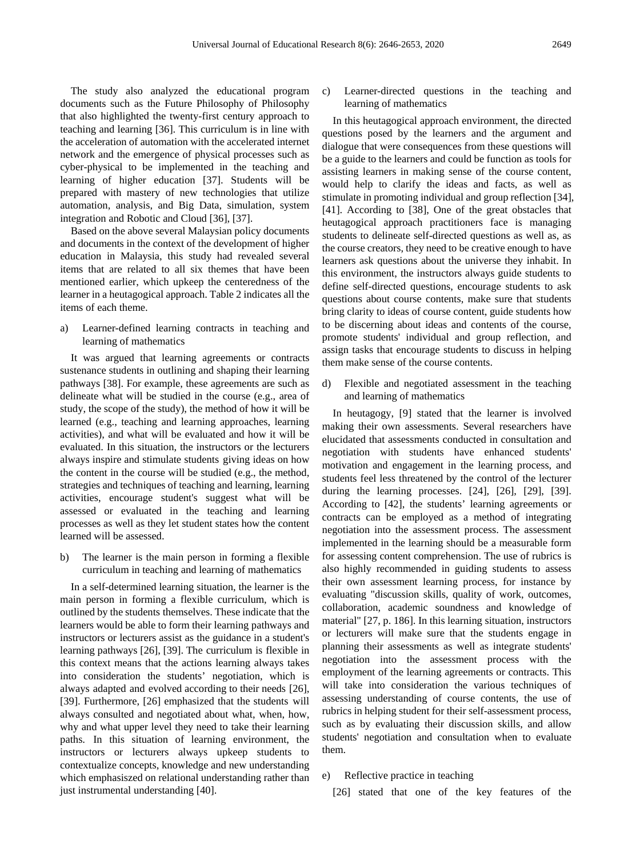The study also analyzed the educational program documents such as the Future Philosophy of Philosophy that also highlighted the twenty-first century approach to teaching and learning [36]. This curriculum is in line with the acceleration of automation with the accelerated internet network and the emergence of physical processes such as cyber-physical to be implemented in the teaching and learning of higher education [37]. Students will be prepared with mastery of new technologies that utilize automation, analysis, and Big Data, simulation, system integration and Robotic and Cloud [36], [37].

Based on the above several Malaysian policy documents and documents in the context of the development of higher education in Malaysia, this study had revealed several items that are related to all six themes that have been mentioned earlier, which upkeep the centeredness of the learner in a heutagogical approach. Table 2 indicates all the items of each theme.

a) Learner-defined learning contracts in teaching and learning of mathematics

It was argued that learning agreements or contracts sustenance students in outlining and shaping their learning pathways [38]. For example, these agreements are such as delineate what will be studied in the course (e.g., area of study, the scope of the study), the method of how it will be learned (e.g., teaching and learning approaches, learning activities), and what will be evaluated and how it will be evaluated. In this situation, the instructors or the lecturers always inspire and stimulate students giving ideas on how the content in the course will be studied (e.g., the method, strategies and techniques of teaching and learning, learning activities, encourage student's suggest what will be assessed or evaluated in the teaching and learning processes as well as they let student states how the content learned will be assessed.

b) The learner is the main person in forming a flexible curriculum in teaching and learning of mathematics

In a self-determined learning situation, the learner is the main person in forming a flexible curriculum, which is outlined by the students themselves. These indicate that the learners would be able to form their learning pathways and instructors or lecturers assist as the guidance in a student's learning pathways [26], [39]. The curriculum is flexible in this context means that the actions learning always takes into consideration the students' negotiation, which is always adapted and evolved according to their needs [26], [39]. Furthermore, [26] emphasized that the students will always consulted and negotiated about what, when, how, why and what upper level they need to take their learning paths. In this situation of learning environment, the instructors or lecturers always upkeep students to contextualize concepts, knowledge and new understanding which emphasiszed on relational understanding rather than just instrumental understanding [40].

c) Learner-directed questions in the teaching and learning of mathematics

In this heutagogical approach environment, the directed questions posed by the learners and the argument and dialogue that were consequences from these questions will be a guide to the learners and could be function as tools for assisting learners in making sense of the course content, would help to clarify the ideas and facts, as well as stimulate in promoting individual and group reflection [34], [41]. According to [38], One of the great obstacles that heutagogical approach practitioners face is managing students to delineate self-directed questions as well as, as the course creators, they need to be creative enough to have learners ask questions about the universe they inhabit. In this environment, the instructors always guide students to define self-directed questions, encourage students to ask questions about course contents, make sure that students bring clarity to ideas of course content, guide students how to be discerning about ideas and contents of the course, promote students' individual and group reflection, and assign tasks that encourage students to discuss in helping them make sense of the course contents.

d) Flexible and negotiated assessment in the teaching and learning of mathematics

In heutagogy, [9] stated that the learner is involved making their own assessments. Several researchers have elucidated that assessments conducted in consultation and negotiation with students have enhanced students' motivation and engagement in the learning process, and students feel less threatened by the control of the lecturer during the learning processes. [24], [26], [29], [39]. According to [42], the students' learning agreements or contracts can be employed as a method of integrating negotiation into the assessment process. The assessment implemented in the learning should be a measurable form for assessing content comprehension. The use of rubrics is also highly recommended in guiding students to assess their own assessment learning process, for instance by evaluating "discussion skills, quality of work, outcomes, collaboration, academic soundness and knowledge of material" [27, p. 186]. In this learning situation, instructors or lecturers will make sure that the students engage in planning their assessments as well as integrate students' negotiation into the assessment process with the employment of the learning agreements or contracts. This will take into consideration the various techniques of assessing understanding of course contents, the use of rubrics in helping student for their self-assessment process, such as by evaluating their discussion skills, and allow students' negotiation and consultation when to evaluate them.

- e) Reflective practice in teaching
	- [26] stated that one of the key features of the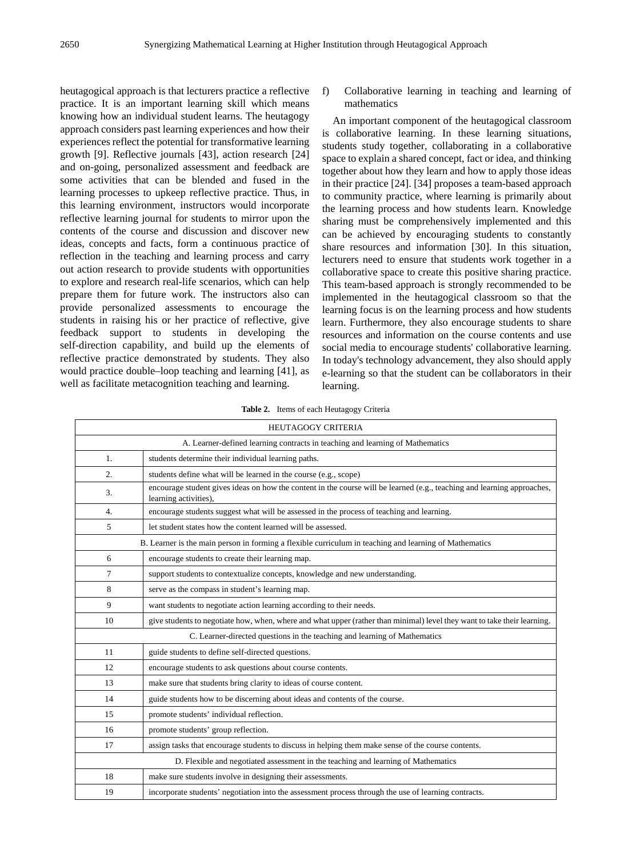heutagogical approach is that lecturers practice a reflective practice. It is an important learning skill which means knowing how an individual student learns. The heutagogy approach considers past learning experiences and how their experiences reflect the potential for transformative learning growth [9]. Reflective journals [43], action research [24] and on-going, personalized assessment and feedback are some activities that can be blended and fused in the learning processes to upkeep reflective practice. Thus, in this learning environment, instructors would incorporate reflective learning journal for students to mirror upon the contents of the course and discussion and discover new ideas, concepts and facts, form a continuous practice of reflection in the teaching and learning process and carry out action research to provide students with opportunities to explore and research real-life scenarios, which can help prepare them for future work. The instructors also can provide personalized assessments to encourage the students in raising his or her practice of reflective, give feedback support to students in developing the self-direction capability, and build up the elements of reflective practice demonstrated by students. They also would practice double–loop teaching and learning [41], as well as facilitate metacognition teaching and learning.

f) Collaborative learning in teaching and learning of mathematics

An important component of the heutagogical classroom is collaborative learning. In these learning situations, students study together, collaborating in a collaborative space to explain a shared concept, fact or idea, and thinking together about how they learn and how to apply those ideas in their practice [24]. [34] proposes a team-based approach to community practice, where learning is primarily about the learning process and how students learn. Knowledge sharing must be comprehensively implemented and this can be achieved by encouraging students to constantly share resources and information [30]. In this situation, lecturers need to ensure that students work together in a collaborative space to create this positive sharing practice. This team-based approach is strongly recommended to be implemented in the heutagogical classroom so that the learning focus is on the learning process and how students learn. Furthermore, they also encourage students to share resources and information on the course contents and use social media to encourage students' collaborative learning. In today's technology advancement, they also should apply e-learning so that the student can be collaborators in their learning.

**Table 2.** Items of each Heutagogy Criteria

| <b>HEUTAGOGY CRITERIA</b>                                                         |                                                                                                                                                  |  |  |  |  |  |
|-----------------------------------------------------------------------------------|--------------------------------------------------------------------------------------------------------------------------------------------------|--|--|--|--|--|
| A. Learner-defined learning contracts in teaching and learning of Mathematics     |                                                                                                                                                  |  |  |  |  |  |
| 1.                                                                                | students determine their individual learning paths.                                                                                              |  |  |  |  |  |
| 2.                                                                                | students define what will be learned in the course (e.g., scope)                                                                                 |  |  |  |  |  |
| 3.                                                                                | encourage student gives ideas on how the content in the course will be learned (e.g., teaching and learning approaches,<br>learning activities), |  |  |  |  |  |
| $\overline{4}$ .                                                                  | encourage students suggest what will be assessed in the process of teaching and learning.                                                        |  |  |  |  |  |
| 5                                                                                 | let student states how the content learned will be assessed.                                                                                     |  |  |  |  |  |
|                                                                                   | B. Learner is the main person in forming a flexible curriculum in teaching and learning of Mathematics                                           |  |  |  |  |  |
| 6                                                                                 | encourage students to create their learning map.                                                                                                 |  |  |  |  |  |
| 7                                                                                 | support students to contextualize concepts, knowledge and new understanding.                                                                     |  |  |  |  |  |
| 8                                                                                 | serve as the compass in student's learning map.                                                                                                  |  |  |  |  |  |
| 9                                                                                 | want students to negotiate action learning according to their needs.                                                                             |  |  |  |  |  |
| 10                                                                                | give students to negotiate how, when, where and what upper (rather than minimal) level they want to take their learning.                         |  |  |  |  |  |
| C. Learner-directed questions in the teaching and learning of Mathematics         |                                                                                                                                                  |  |  |  |  |  |
| 11                                                                                | guide students to define self-directed questions.                                                                                                |  |  |  |  |  |
| 12                                                                                | encourage students to ask questions about course contents.                                                                                       |  |  |  |  |  |
| 13                                                                                | make sure that students bring clarity to ideas of course content.                                                                                |  |  |  |  |  |
| 14                                                                                | guide students how to be discerning about ideas and contents of the course.                                                                      |  |  |  |  |  |
| 15                                                                                | promote students' individual reflection.                                                                                                         |  |  |  |  |  |
| 16                                                                                | promote students' group reflection.                                                                                                              |  |  |  |  |  |
| 17                                                                                | assign tasks that encourage students to discuss in helping them make sense of the course contents.                                               |  |  |  |  |  |
| D. Flexible and negotiated assessment in the teaching and learning of Mathematics |                                                                                                                                                  |  |  |  |  |  |
| 18                                                                                | make sure students involve in designing their assessments.                                                                                       |  |  |  |  |  |
| 19                                                                                | incorporate students' negotiation into the assessment process through the use of learning contracts.                                             |  |  |  |  |  |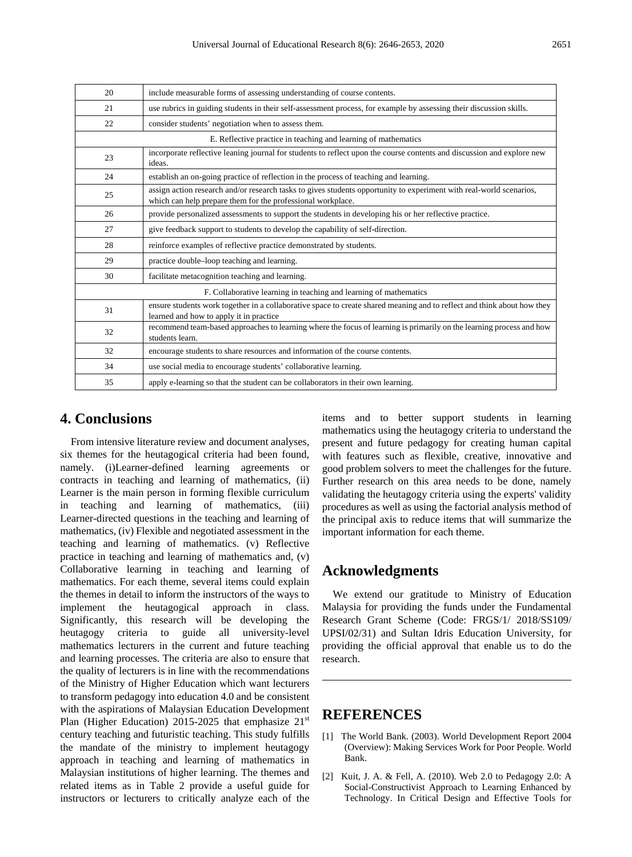| 20                                                                | include measurable forms of assessing understanding of course contents.                                                                                                            |  |  |  |  |  |
|-------------------------------------------------------------------|------------------------------------------------------------------------------------------------------------------------------------------------------------------------------------|--|--|--|--|--|
| 21                                                                | use rubrics in guiding students in their self-assessment process, for example by assessing their discussion skills.                                                                |  |  |  |  |  |
| 22                                                                | consider students' negotiation when to assess them.                                                                                                                                |  |  |  |  |  |
| E. Reflective practice in teaching and learning of mathematics    |                                                                                                                                                                                    |  |  |  |  |  |
| 23                                                                | incorporate reflective leaning journal for students to reflect upon the course contents and discussion and explore new<br>ideas.                                                   |  |  |  |  |  |
| 24                                                                | establish an on-going practice of reflection in the process of teaching and learning.                                                                                              |  |  |  |  |  |
| 25                                                                | assign action research and/or research tasks to gives students opportunity to experiment with real-world scenarios,<br>which can help prepare them for the professional workplace. |  |  |  |  |  |
| 26                                                                | provide personalized assessments to support the students in developing his or her reflective practice.                                                                             |  |  |  |  |  |
| 27                                                                | give feedback support to students to develop the capability of self-direction.                                                                                                     |  |  |  |  |  |
| 28                                                                | reinforce examples of reflective practice demonstrated by students.                                                                                                                |  |  |  |  |  |
| 29                                                                | practice double-loop teaching and learning.                                                                                                                                        |  |  |  |  |  |
| 30                                                                | facilitate metacognition teaching and learning.                                                                                                                                    |  |  |  |  |  |
| F. Collaborative learning in teaching and learning of mathematics |                                                                                                                                                                                    |  |  |  |  |  |
| 31                                                                | ensure students work together in a collaborative space to create shared meaning and to reflect and think about how they<br>learned and how to apply it in practice                 |  |  |  |  |  |
| 32                                                                | recommend team-based approaches to learning where the focus of learning is primarily on the learning process and how<br>students learn.                                            |  |  |  |  |  |
| 32                                                                | encourage students to share resources and information of the course contents.                                                                                                      |  |  |  |  |  |
| 34                                                                | use social media to encourage students' collaborative learning.                                                                                                                    |  |  |  |  |  |
| 35                                                                | apply e-learning so that the student can be collaborators in their own learning.                                                                                                   |  |  |  |  |  |

#### **4. Conclusions**

From intensive literature review and document analyses, six themes for the heutagogical criteria had been found, namely. (i)Learner-defined learning agreements or contracts in teaching and learning of mathematics, (ii) Learner is the main person in forming flexible curriculum in teaching and learning of mathematics, (iii) Learner-directed questions in the teaching and learning of mathematics, (iv) Flexible and negotiated assessment in the teaching and learning of mathematics. (v) Reflective practice in teaching and learning of mathematics and, (v) Collaborative learning in teaching and learning of mathematics. For each theme, several items could explain the themes in detail to inform the instructors of the ways to implement the heutagogical approach in class. Significantly, this research will be developing the heutagogy criteria to guide all university-level mathematics lecturers in the current and future teaching and learning processes. The criteria are also to ensure that the quality of lecturers is in line with the recommendations of the Ministry of Higher Education which want lecturers to transform pedagogy into education 4.0 and be consistent with the aspirations of Malaysian Education Development Plan (Higher Education) 2015-2025 that emphasize  $21<sup>st</sup>$ century teaching and futuristic teaching. This study fulfills the mandate of the ministry to implement heutagogy approach in teaching and learning of mathematics in Malaysian institutions of higher learning. The themes and related items as in Table 2 provide a useful guide for instructors or lecturers to critically analyze each of the

items and to better support students in learning mathematics using the heutagogy criteria to understand the present and future pedagogy for creating human capital with features such as flexible, creative, innovative and good problem solvers to meet the challenges for the future. Further research on this area needs to be done, namely validating the heutagogy criteria using the experts' validity procedures as well as using the factorial analysis method of the principal axis to reduce items that will summarize the important information for each theme.

#### **Acknowledgments**

We extend our gratitude to Ministry of Education Malaysia for providing the funds under the Fundamental Research Grant Scheme (Code: FRGS/1/ 2018/SS109/ UPSI/02/31) and Sultan Idris Education University, for providing the official approval that enable us to do the research.

### **REFERENCES**

- [1] The World Bank. (2003). World Development Report 2004 (Overview): Making Services Work for Poor People. World Bank.
- [2] Kuit, J. A. & Fell, A. (2010). Web 2.0 to Pedagogy 2.0: A Social-Constructivist Approach to Learning Enhanced by Technology. In Critical Design and Effective Tools for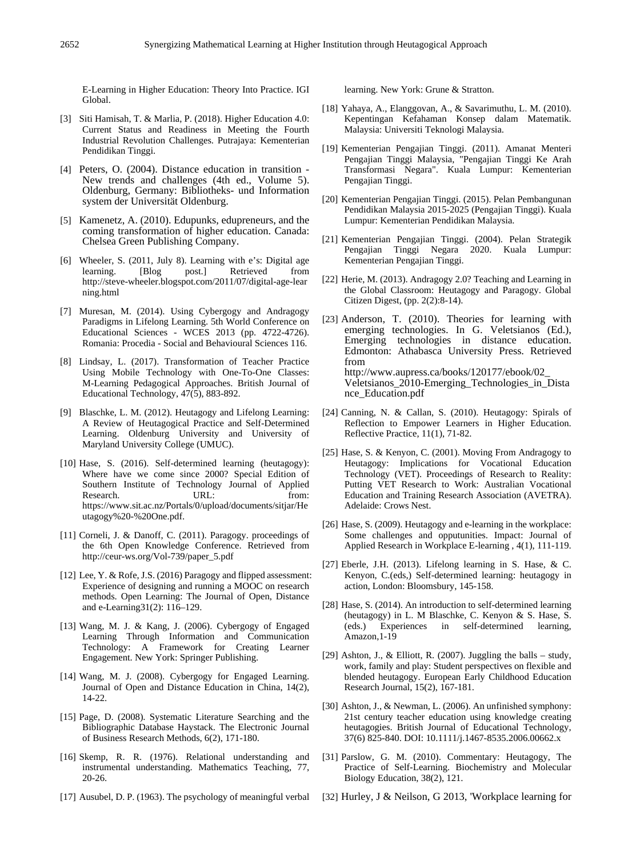E-Learning in Higher Education: Theory Into Practice. IGI Global.

- [3] Siti Hamisah, T. & Marlia, P. (2018). Higher Education 4.0: Current Status and Readiness in Meeting the Fourth Industrial Revolution Challenges. Putrajaya: Kementerian Pendidikan Tinggi.
- [4] Peters, O. (2004). Distance education in transition New trends and challenges (4th ed., Volume 5). Oldenburg, Germany: Bibliotheks- und Information system der Universität Oldenburg.
- [5] Kamenetz, A. (2010). Edupunks, edupreneurs, and the coming transformation of higher education. Canada: Chelsea Green Publishing Company.
- [6] Wheeler, S. (2011, July 8). Learning with e's: Digital age learning. [Blog post.] Retrieved from learning. [Blog post.] Retrieved from http://steve-wheeler.blogspot.com/2011/07/digital-age-lear ning.html
- [7] Muresan, M. (2014). Using Cybergogy and Andragogy Paradigms in Lifelong Learning. 5th World Conference on Educational Sciences - WCES 2013 (pp. 4722-4726). Romania: Procedia - Social and Behavioural Sciences 116.
- [8] Lindsay, L. (2017). Transformation of Teacher Practice Using Mobile Technology with One-To-One Classes: M-Learning Pedagogical Approaches. British Journal of Educational Technology, 47(5), 883-892.
- [9] Blaschke, L. M. (2012). Heutagogy and Lifelong Learning: A Review of Heutagogical Practice and Self-Determined Learning. Oldenburg University and University of Maryland University College (UMUC).
- [10] Hase, S. (2016). Self-determined learning (heutagogy): Where have we come since 2000? Special Edition of Southern Institute of Technology Journal of Applied Research. URL: from: https://www.sit.ac.nz/Portals/0/upload/documents/sitjar/He utagogy%20-%20One.pdf.
- [11] Corneli, J. & Danoff, C. (2011). Paragogy. proceedings of the 6th Open Knowledge Conference. Retrieved from http://ceur-ws.org/Vol-739/paper\_5.pdf
- [12] Lee, Y. & Rofe, J.S. (2016) Paragogy and flipped assessment: Experience of designing and running a MOOC on research methods. Open Learning: The Journal of Open, Distance and e-Learning31(2): 116–129.
- [13] Wang, M. J. & Kang, J. (2006). Cybergogy of Engaged Learning Through Information and Communication Technology: A Framework for Creating Learner Engagement. New York: Springer Publishing.
- [14] Wang, M. J. (2008). Cybergogy for Engaged Learning. Journal of Open and Distance Education in China, 14(2), 14-22.
- [15] Page, D. (2008). Systematic Literature Searching and the Bibliographic Database Haystack. The Electronic Journal of Business Research Methods, 6(2), 171-180.
- [16] Skemp, R. R. (1976). Relational understanding and instrumental understanding. Mathematics Teaching, 77, 20-26.
- [17] Ausubel, D. P. (1963). The psychology of meaningful verbal

learning. New York: Grune & Stratton.

- [18] Yahaya, A., Elanggovan, A., & Savarimuthu, L. M. (2010). Kepentingan Kefahaman Konsep dalam Matematik. Malaysia: Universiti Teknologi Malaysia.
- [19] Kementerian Pengajian Tinggi. (2011). Amanat Menteri Pengajian Tinggi Malaysia, "Pengajian Tinggi Ke Arah Transformasi Negara". Kuala Lumpur: Kementerian Pengajian Tinggi.
- [20] Kementerian Pengajian Tinggi. (2015). Pelan Pembangunan Pendidikan Malaysia 2015-2025 (Pengajian Tinggi). Kuala Lumpur: Kementerian Pendidikan Malaysia.
- [21] Kementerian Pengajian Tinggi. (2004). Pelan Strategik Pengajian Tinggi Negara 2020. Kuala Lumpur: Kementerian Pengajian Tinggi.
- [22] Herie, M. (2013). Andragogy 2.0? Teaching and Learning in the Global Classroom: Heutagogy and Paragogy. Global Citizen Digest, (pp. 2(2):8-14).
- [23] Anderson, T. (2010). Theories for learning with emerging technologies. In G. Veletsianos (Ed.), Emerging technologies in distance education. Edmonton: Athabasca University Press. Retrieved from http://www.aupress.ca/books/120177/ebook/02\_ Veletsianos\_2010-Emerging\_Technologies\_in\_Dista nce\_Education.pdf
- [24] Canning, N. & Callan, S. (2010). Heutagogy: Spirals of Reflection to Empower Learners in Higher Education. Reflective Practice, 11(1), 71-82.
- [25] Hase, S. & Kenyon, C. (2001). Moving From Andragogy to Heutagogy: Implications for Vocational Education Technology (VET). Proceedings of Research to Reality: Putting VET Research to Work: Australian Vocational Education and Training Research Association (AVETRA). Adelaide: Crows Nest.
- [26] Hase, S. (2009). Heutagogy and e-learning in the workplace: Some challenges and opputunities. Impact: Journal of Applied Research in Workplace E-learning , 4(1), 111-119.
- [27] Eberle, J.H. (2013). Lifelong learning in S. Hase, & C. Kenyon, C.(eds,) Self-determined learning: heutagogy in action, London: Bloomsbury, 145-158.
- [28] Hase, S. (2014). An introduction to self-determined learning (heutagogy) in L. M Blaschke, C. Kenyon & S. Hase, S. (eds.) Experiences in self-determined learning, (eds.) Experiences in self-determined Amazon,1-19
- [29] Ashton, J., & Elliott, R. (2007). Juggling the balls  $-$  study, work, family and play: Student perspectives on flexible and blended heutagogy. European Early Childhood Education Research Journal, 15(2), 167-181.
- [30] Ashton, J., & Newman, L. (2006). An unfinished symphony: 21st century teacher education using knowledge creating heutagogies. British Journal of Educational Technology, 37(6) 825-840. DOI: 10.1111/j.1467-8535.2006.00662.x
- [31] Parslow, G. M. (2010). Commentary: Heutagogy, The Practice of Self-Learning. Biochemistry and Molecular Biology Education, 38(2), 121.
- [32] Hurley, J & Neilson, G 2013, 'Workplace learning for